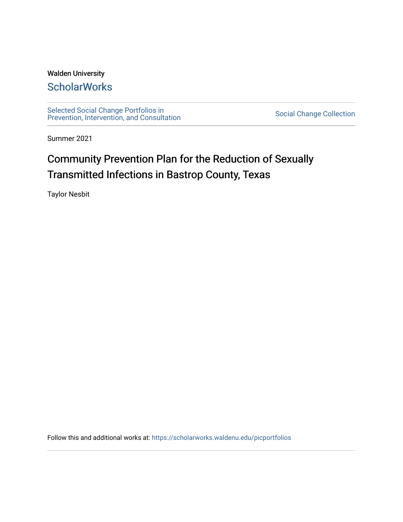### Walden University

# **ScholarWorks**

[Selected Social Change Portfolios in](https://scholarworks.waldenu.edu/picportfolios) Selected Social Change Portiolios in<br>[Prevention, Intervention, and Consultation](https://scholarworks.waldenu.edu/picportfolios) [Social Change Collection](https://scholarworks.waldenu.edu/social_change_collection) Social Change Collection

Summer 2021

# Community Prevention Plan for the Reduction of Sexually Transmitted Infections in Bastrop County, Texas

Taylor Nesbit

Follow this and additional works at: [https://scholarworks.waldenu.edu/picportfolios](https://scholarworks.waldenu.edu/picportfolios?utm_source=scholarworks.waldenu.edu%2Fpicportfolios%2F31&utm_medium=PDF&utm_campaign=PDFCoverPages)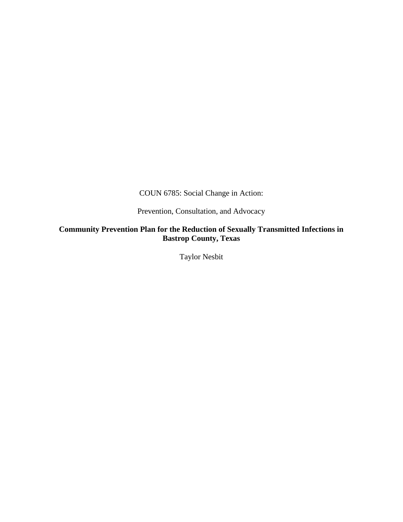COUN 6785: Social Change in Action:

Prevention, Consultation, and Advocacy

**Community Prevention Plan for the Reduction of Sexually Transmitted Infections in Bastrop County, Texas** 

Taylor Nesbit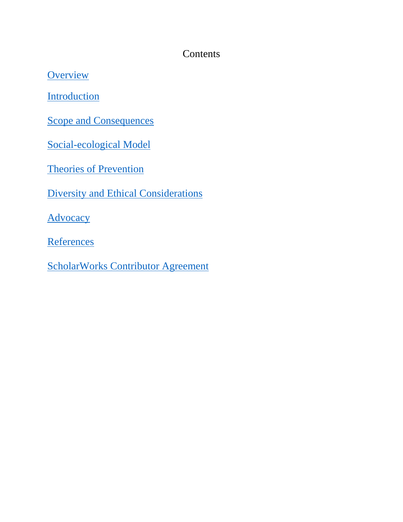# **Contents**

**[Overview](#page-3-0)** 

**[Introduction](#page-5-0)** 

[Scope and Consequences](#page-6-0)

[Social-ecological Model](#page-8-0)

[Theories of Prevention](#page-15-0)

[Diversity and Ethical Considerations](#page-19-0)

**[Advocacy](#page-23-0)** 

**[References](#page-31-0)** 

[ScholarWorks Contributor Agreement](#page-36-0)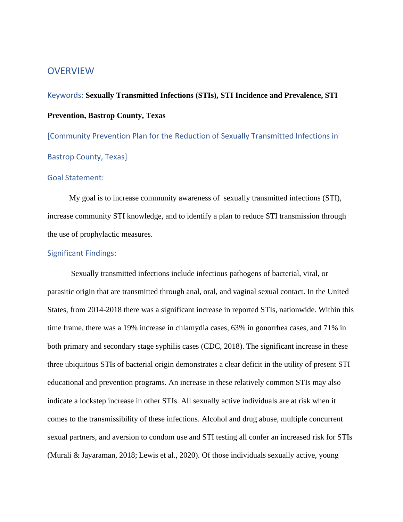### <span id="page-3-0"></span>**OVERVIEW**

Keywords: **Sexually Transmitted Infections (STIs), STI Incidence and Prevalence, STI Prevention, Bastrop County, Texas**

[Community Prevention Plan for the Reduction of Sexually Transmitted Infections in Bastrop County, Texas]

### Goal Statement:

My goal is to increase community awareness of sexually transmitted infections (STI), increase community STI knowledge, and to identify a plan to reduce STI transmission through the use of prophylactic measures.

### Significant Findings:

Sexually transmitted infections include infectious pathogens of bacterial, viral, or parasitic origin that are transmitted through anal, oral, and vaginal sexual contact. In the United States, from 2014-2018 there was a significant increase in reported STIs, nationwide. Within this time frame, there was a 19% increase in chlamydia cases, 63% in gonorrhea cases, and 71% in both primary and secondary stage syphilis cases (CDC, 2018). The significant increase in these three ubiquitous STIs of bacterial origin demonstrates a clear deficit in the utility of present STI educational and prevention programs. An increase in these relatively common STIs may also indicate a lockstep increase in other STIs. All sexually active individuals are at risk when it comes to the transmissibility of these infections. Alcohol and drug abuse, multiple concurrent sexual partners, and aversion to condom use and STI testing all confer an increased risk for STIs (Murali & Jayaraman, 2018; Lewis et al., 2020). Of those individuals sexually active, young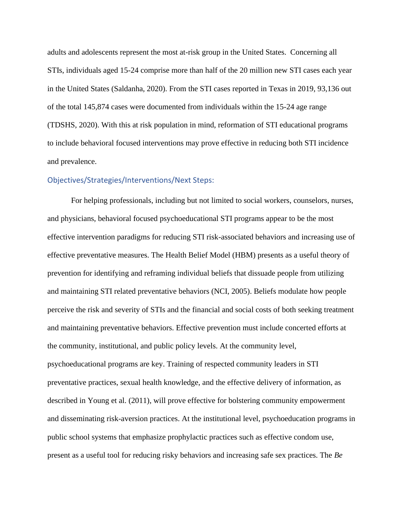adults and adolescents represent the most at-risk group in the United States. Concerning all STIs, individuals aged 15-24 comprise more than half of the 20 million new STI cases each year in the United States (Saldanha, 2020). From the STI cases reported in Texas in 2019, 93,136 out of the total 145,874 cases were documented from individuals within the 15-24 age range (TDSHS, 2020). With this at risk population in mind, reformation of STI educational programs to include behavioral focused interventions may prove effective in reducing both STI incidence and prevalence.

### Objectives/Strategies/Interventions/Next Steps:

For helping professionals, including but not limited to social workers, counselors, nurses, and physicians, behavioral focused psychoeducational STI programs appear to be the most effective intervention paradigms for reducing STI risk-associated behaviors and increasing use of effective preventative measures. The Health Belief Model (HBM) presents as a useful theory of prevention for identifying and reframing individual beliefs that dissuade people from utilizing and maintaining STI related preventative behaviors (NCI, 2005). Beliefs modulate how people perceive the risk and severity of STIs and the financial and social costs of both seeking treatment and maintaining preventative behaviors. Effective prevention must include concerted efforts at the community, institutional, and public policy levels. At the community level, psychoeducational programs are key. Training of respected community leaders in STI preventative practices, sexual health knowledge, and the effective delivery of information, as described in Young et al. (2011), will prove effective for bolstering community empowerment and disseminating risk-aversion practices. At the institutional level, psychoeducation programs in public school systems that emphasize prophylactic practices such as effective condom use, present as a useful tool for reducing risky behaviors and increasing safe sex practices. The *Be*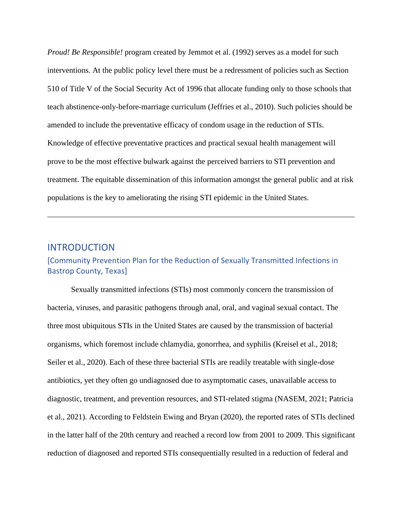*Proud! Be Responsible!* program created by Jemmot et al. (1992) serves as a model for such interventions. At the public policy level there must be a redressment of policies such as Section 510 of Title V of the Social Security Act of 1996 that allocate funding only to those schools that teach abstinence-only-before-marriage curriculum (Jeffries et al., 2010). Such policies should be amended to include the preventative efficacy of condom usage in the reduction of STIs. Knowledge of effective preventative practices and practical sexual health management will prove to be the most effective bulwark against the perceived barriers to STI prevention and treatment. The equitable dissemination of this information amongst the general public and at risk populations is the key to ameliorating the rising STI epidemic in the United States.

### <span id="page-5-0"></span>INTRODUCTION

### [Community Prevention Plan for the Reduction of Sexually Transmitted Infections in Bastrop County, Texas]

Sexually transmitted infections (STIs) most commonly concern the transmission of bacteria, viruses, and parasitic pathogens through anal, oral, and vaginal sexual contact. The three most ubiquitous STIs in the United States are caused by the transmission of bacterial organisms, which foremost include chlamydia, gonorrhea, and syphilis (Kreisel et al., 2018; Seiler et al., 2020). Each of these three bacterial STIs are readily treatable with single-dose antibiotics, yet they often go undiagnosed due to asymptomatic cases, unavailable access to diagnostic, treatment, and prevention resources, and STI-related stigma (NASEM, 2021; Patricia et al., 2021). According to Feldstein Ewing and Bryan (2020), the reported rates of STIs declined in the latter half of the 20th century and reached a record low from 2001 to 2009. This significant reduction of diagnosed and reported STIs consequentially resulted in a reduction of federal and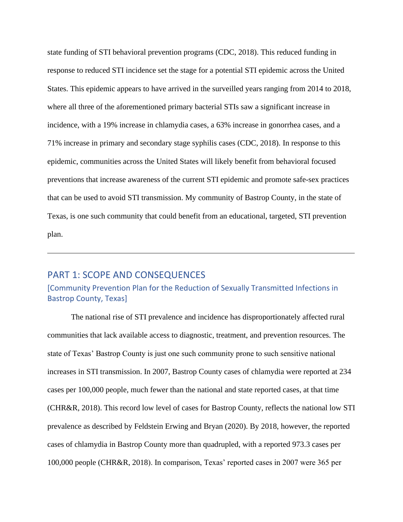state funding of STI behavioral prevention programs (CDC, 2018). This reduced funding in response to reduced STI incidence set the stage for a potential STI epidemic across the United States. This epidemic appears to have arrived in the surveilled years ranging from 2014 to 2018, where all three of the aforementioned primary bacterial STIs saw a significant increase in incidence, with a 19% increase in chlamydia cases, a 63% increase in gonorrhea cases, and a 71% increase in primary and secondary stage syphilis cases (CDC, 2018). In response to this epidemic, communities across the United States will likely benefit from behavioral focused preventions that increase awareness of the current STI epidemic and promote safe-sex practices that can be used to avoid STI transmission. My community of Bastrop County, in the state of Texas, is one such community that could benefit from an educational, targeted, STI prevention plan.

### <span id="page-6-0"></span>PART 1: SCOPE AND CONSEQUENCES

### [Community Prevention Plan for the Reduction of Sexually Transmitted Infections in Bastrop County, Texas]

The national rise of STI prevalence and incidence has disproportionately affected rural communities that lack available access to diagnostic, treatment, and prevention resources. The state of Texas' Bastrop County is just one such community prone to such sensitive national increases in STI transmission. In 2007, Bastrop County cases of chlamydia were reported at 234 cases per 100,000 people, much fewer than the national and state reported cases, at that time (CHR&R, 2018). This record low level of cases for Bastrop County, reflects the national low STI prevalence as described by Feldstein Erwing and Bryan (2020). By 2018, however, the reported cases of chlamydia in Bastrop County more than quadrupled, with a reported 973.3 cases per 100,000 people (CHR&R, 2018). In comparison, Texas' reported cases in 2007 were 365 per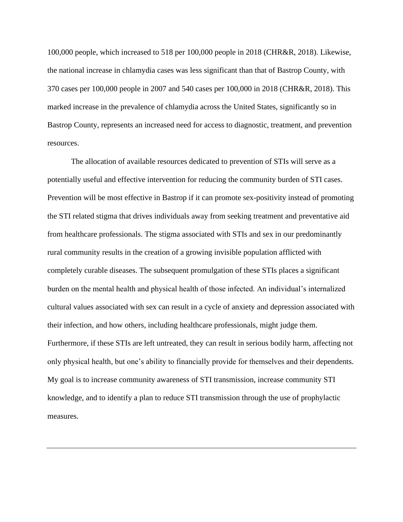100,000 people, which increased to 518 per 100,000 people in 2018 (CHR&R, 2018). Likewise, the national increase in chlamydia cases was less significant than that of Bastrop County, with 370 cases per 100,000 people in 2007 and 540 cases per 100,000 in 2018 (CHR&R, 2018). This marked increase in the prevalence of chlamydia across the United States, significantly so in Bastrop County, represents an increased need for access to diagnostic, treatment, and prevention resources.

The allocation of available resources dedicated to prevention of STIs will serve as a potentially useful and effective intervention for reducing the community burden of STI cases. Prevention will be most effective in Bastrop if it can promote sex-positivity instead of promoting the STI related stigma that drives individuals away from seeking treatment and preventative aid from healthcare professionals. The stigma associated with STIs and sex in our predominantly rural community results in the creation of a growing invisible population afflicted with completely curable diseases. The subsequent promulgation of these STIs places a significant burden on the mental health and physical health of those infected. An individual's internalized cultural values associated with sex can result in a cycle of anxiety and depression associated with their infection, and how others, including healthcare professionals, might judge them. Furthermore, if these STIs are left untreated, they can result in serious bodily harm, affecting not only physical health, but one's ability to financially provide for themselves and their dependents. My goal is to increase community awareness of STI transmission, increase community STI knowledge, and to identify a plan to reduce STI transmission through the use of prophylactic measures.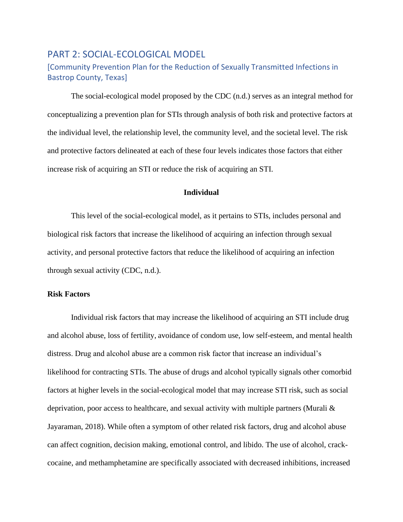### <span id="page-8-0"></span>PART 2: SOCIAL-ECOLOGICAL MODEL

### [Community Prevention Plan for the Reduction of Sexually Transmitted Infections in Bastrop County, Texas]

The social-ecological model proposed by the CDC (n.d.) serves as an integral method for conceptualizing a prevention plan for STIs through analysis of both risk and protective factors at the individual level, the relationship level, the community level, and the societal level. The risk and protective factors delineated at each of these four levels indicates those factors that either increase risk of acquiring an STI or reduce the risk of acquiring an STI.

### **Individual**

This level of the social-ecological model, as it pertains to STIs, includes personal and biological risk factors that increase the likelihood of acquiring an infection through sexual activity, and personal protective factors that reduce the likelihood of acquiring an infection through sexual activity (CDC, n.d.).

### **Risk Factors**

Individual risk factors that may increase the likelihood of acquiring an STI include drug and alcohol abuse, loss of fertility, avoidance of condom use, low self-esteem, and mental health distress. Drug and alcohol abuse are a common risk factor that increase an individual's likelihood for contracting STIs. The abuse of drugs and alcohol typically signals other comorbid factors at higher levels in the social-ecological model that may increase STI risk, such as social deprivation, poor access to healthcare, and sexual activity with multiple partners (Murali & Jayaraman, 2018). While often a symptom of other related risk factors, drug and alcohol abuse can affect cognition, decision making, emotional control, and libido. The use of alcohol, crackcocaine, and methamphetamine are specifically associated with decreased inhibitions, increased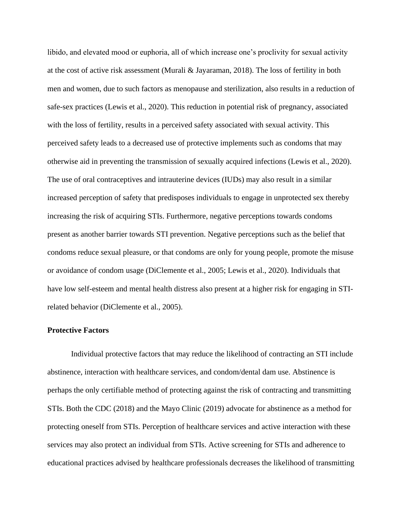libido, and elevated mood or euphoria, all of which increase one's proclivity for sexual activity at the cost of active risk assessment (Murali & Jayaraman, 2018). The loss of fertility in both men and women, due to such factors as menopause and sterilization, also results in a reduction of safe-sex practices (Lewis et al., 2020). This reduction in potential risk of pregnancy, associated with the loss of fertility, results in a perceived safety associated with sexual activity. This perceived safety leads to a decreased use of protective implements such as condoms that may otherwise aid in preventing the transmission of sexually acquired infections (Lewis et al., 2020). The use of oral contraceptives and intrauterine devices (IUDs) may also result in a similar increased perception of safety that predisposes individuals to engage in unprotected sex thereby increasing the risk of acquiring STIs. Furthermore, negative perceptions towards condoms present as another barrier towards STI prevention. Negative perceptions such as the belief that condoms reduce sexual pleasure, or that condoms are only for young people, promote the misuse or avoidance of condom usage (DiClemente et al., 2005; Lewis et al., 2020). Individuals that have low self-esteem and mental health distress also present at a higher risk for engaging in STIrelated behavior (DiClemente et al., 2005).

#### **Protective Factors**

Individual protective factors that may reduce the likelihood of contracting an STI include abstinence, interaction with healthcare services, and condom/dental dam use. Abstinence is perhaps the only certifiable method of protecting against the risk of contracting and transmitting STIs. Both the CDC (2018) and the Mayo Clinic (2019) advocate for abstinence as a method for protecting oneself from STIs. Perception of healthcare services and active interaction with these services may also protect an individual from STIs. Active screening for STIs and adherence to educational practices advised by healthcare professionals decreases the likelihood of transmitting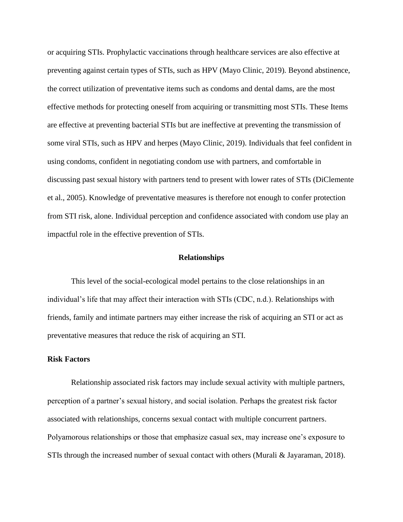or acquiring STIs. Prophylactic vaccinations through healthcare services are also effective at preventing against certain types of STIs, such as HPV (Mayo Clinic, 2019). Beyond abstinence, the correct utilization of preventative items such as condoms and dental dams, are the most effective methods for protecting oneself from acquiring or transmitting most STIs. These Items are effective at preventing bacterial STIs but are ineffective at preventing the transmission of some viral STIs, such as HPV and herpes (Mayo Clinic, 2019). Individuals that feel confident in using condoms, confident in negotiating condom use with partners, and comfortable in discussing past sexual history with partners tend to present with lower rates of STIs (DiClemente et al., 2005). Knowledge of preventative measures is therefore not enough to confer protection from STI risk, alone. Individual perception and confidence associated with condom use play an impactful role in the effective prevention of STIs.

#### **Relationships**

This level of the social-ecological model pertains to the close relationships in an individual's life that may affect their interaction with STIs (CDC, n.d.). Relationships with friends, family and intimate partners may either increase the risk of acquiring an STI or act as preventative measures that reduce the risk of acquiring an STI.

### **Risk Factors**

Relationship associated risk factors may include sexual activity with multiple partners, perception of a partner's sexual history, and social isolation. Perhaps the greatest risk factor associated with relationships, concerns sexual contact with multiple concurrent partners. Polyamorous relationships or those that emphasize casual sex, may increase one's exposure to STIs through the increased number of sexual contact with others (Murali & Jayaraman, 2018).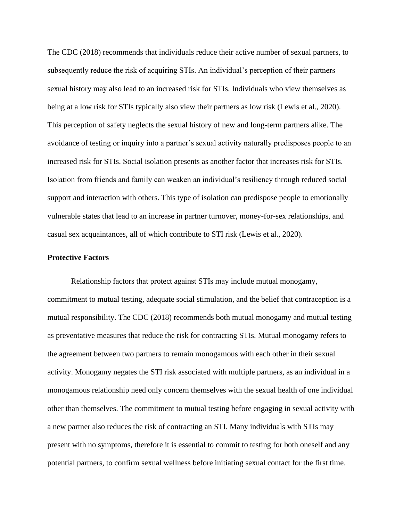The CDC (2018) recommends that individuals reduce their active number of sexual partners, to subsequently reduce the risk of acquiring STIs. An individual's perception of their partners sexual history may also lead to an increased risk for STIs. Individuals who view themselves as being at a low risk for STIs typically also view their partners as low risk (Lewis et al., 2020). This perception of safety neglects the sexual history of new and long-term partners alike. The avoidance of testing or inquiry into a partner's sexual activity naturally predisposes people to an increased risk for STIs. Social isolation presents as another factor that increases risk for STIs. Isolation from friends and family can weaken an individual's resiliency through reduced social support and interaction with others. This type of isolation can predispose people to emotionally vulnerable states that lead to an increase in partner turnover, money-for-sex relationships, and casual sex acquaintances, all of which contribute to STI risk (Lewis et al., 2020).

#### **Protective Factors**

Relationship factors that protect against STIs may include mutual monogamy, commitment to mutual testing, adequate social stimulation, and the belief that contraception is a mutual responsibility. The CDC (2018) recommends both mutual monogamy and mutual testing as preventative measures that reduce the risk for contracting STIs. Mutual monogamy refers to the agreement between two partners to remain monogamous with each other in their sexual activity. Monogamy negates the STI risk associated with multiple partners, as an individual in a monogamous relationship need only concern themselves with the sexual health of one individual other than themselves. The commitment to mutual testing before engaging in sexual activity with a new partner also reduces the risk of contracting an STI. Many individuals with STIs may present with no symptoms, therefore it is essential to commit to testing for both oneself and any potential partners, to confirm sexual wellness before initiating sexual contact for the first time.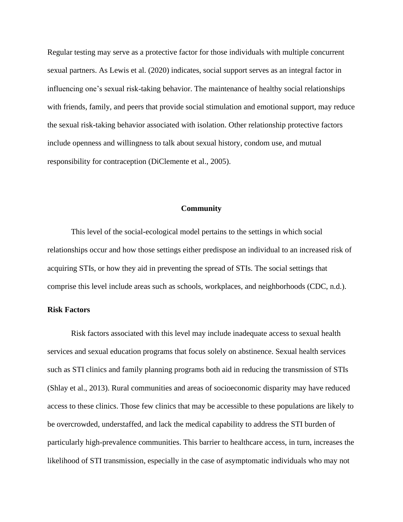Regular testing may serve as a protective factor for those individuals with multiple concurrent sexual partners. As Lewis et al. (2020) indicates, social support serves as an integral factor in influencing one's sexual risk-taking behavior. The maintenance of healthy social relationships with friends, family, and peers that provide social stimulation and emotional support, may reduce the sexual risk-taking behavior associated with isolation. Other relationship protective factors include openness and willingness to talk about sexual history, condom use, and mutual responsibility for contraception (DiClemente et al., 2005).

#### **Community**

This level of the social-ecological model pertains to the settings in which social relationships occur and how those settings either predispose an individual to an increased risk of acquiring STIs, or how they aid in preventing the spread of STIs. The social settings that comprise this level include areas such as schools, workplaces, and neighborhoods (CDC, n.d.).

### **Risk Factors**

Risk factors associated with this level may include inadequate access to sexual health services and sexual education programs that focus solely on abstinence. Sexual health services such as STI clinics and family planning programs both aid in reducing the transmission of STIs (Shlay et al., 2013). Rural communities and areas of socioeconomic disparity may have reduced access to these clinics. Those few clinics that may be accessible to these populations are likely to be overcrowded, understaffed, and lack the medical capability to address the STI burden of particularly high-prevalence communities. This barrier to healthcare access, in turn, increases the likelihood of STI transmission, especially in the case of asymptomatic individuals who may not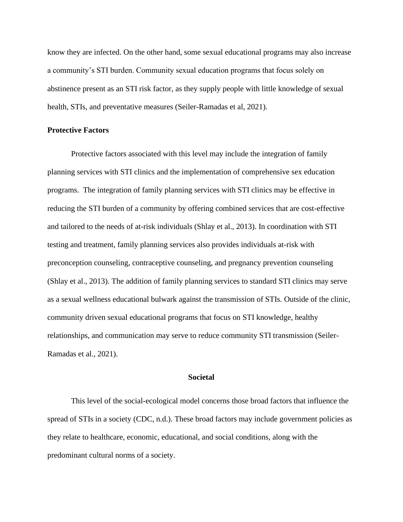know they are infected. On the other hand, some sexual educational programs may also increase a community's STI burden. Community sexual education programs that focus solely on abstinence present as an STI risk factor, as they supply people with little knowledge of sexual health, STIs, and preventative measures (Seiler-Ramadas et al, 2021).

### **Protective Factors**

Protective factors associated with this level may include the integration of family planning services with STI clinics and the implementation of comprehensive sex education programs. The integration of family planning services with STI clinics may be effective in reducing the STI burden of a community by offering combined services that are cost-effective and tailored to the needs of at-risk individuals (Shlay et al., 2013). In coordination with STI testing and treatment, family planning services also provides individuals at-risk with preconception counseling, contraceptive counseling, and pregnancy prevention counseling (Shlay et al., 2013). The addition of family planning services to standard STI clinics may serve as a sexual wellness educational bulwark against the transmission of STIs. Outside of the clinic, community driven sexual educational programs that focus on STI knowledge, healthy relationships, and communication may serve to reduce community STI transmission (Seiler-Ramadas et al., 2021).

#### **Societal**

This level of the social-ecological model concerns those broad factors that influence the spread of STIs in a society (CDC, n.d.). These broad factors may include government policies as they relate to healthcare, economic, educational, and social conditions, along with the predominant cultural norms of a society.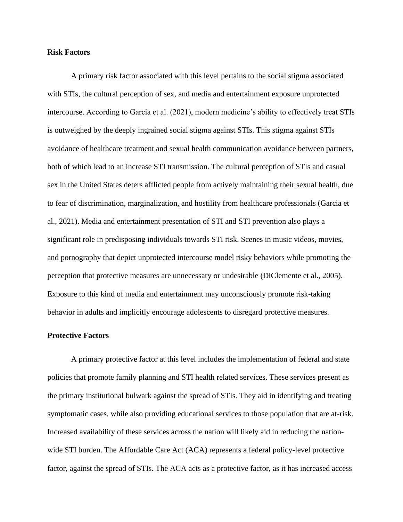### **Risk Factors**

A primary risk factor associated with this level pertains to the social stigma associated with STIs, the cultural perception of sex, and media and entertainment exposure unprotected intercourse. According to Garcia et al. (2021), modern medicine's ability to effectively treat STIs is outweighed by the deeply ingrained social stigma against STIs. This stigma against STIs avoidance of healthcare treatment and sexual health communication avoidance between partners, both of which lead to an increase STI transmission. The cultural perception of STIs and casual sex in the United States deters afflicted people from actively maintaining their sexual health, due to fear of discrimination, marginalization, and hostility from healthcare professionals (Garcia et al., 2021). Media and entertainment presentation of STI and STI prevention also plays a significant role in predisposing individuals towards STI risk. Scenes in music videos, movies, and pornography that depict unprotected intercourse model risky behaviors while promoting the perception that protective measures are unnecessary or undesirable (DiClemente et al., 2005). Exposure to this kind of media and entertainment may unconsciously promote risk-taking behavior in adults and implicitly encourage adolescents to disregard protective measures.

#### **Protective Factors**

A primary protective factor at this level includes the implementation of federal and state policies that promote family planning and STI health related services. These services present as the primary institutional bulwark against the spread of STIs. They aid in identifying and treating symptomatic cases, while also providing educational services to those population that are at-risk. Increased availability of these services across the nation will likely aid in reducing the nationwide STI burden. The Affordable Care Act (ACA) represents a federal policy-level protective factor, against the spread of STIs. The ACA acts as a protective factor, as it has increased access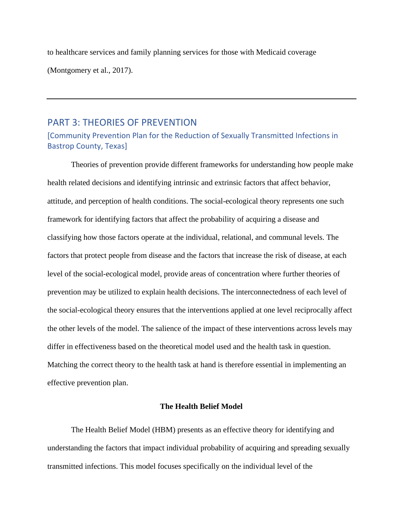to healthcare services and family planning services for those with Medicaid coverage (Montgomery et al., 2017).

### <span id="page-15-0"></span>PART 3: THEORIES OF PREVENTION

[Community Prevention Plan for the Reduction of Sexually Transmitted Infections in Bastrop County, Texas]

Theories of prevention provide different frameworks for understanding how people make health related decisions and identifying intrinsic and extrinsic factors that affect behavior, attitude, and perception of health conditions. The social-ecological theory represents one such framework for identifying factors that affect the probability of acquiring a disease and classifying how those factors operate at the individual, relational, and communal levels. The factors that protect people from disease and the factors that increase the risk of disease, at each level of the social-ecological model, provide areas of concentration where further theories of prevention may be utilized to explain health decisions. The interconnectedness of each level of the social-ecological theory ensures that the interventions applied at one level reciprocally affect the other levels of the model. The salience of the impact of these interventions across levels may differ in effectiveness based on the theoretical model used and the health task in question. Matching the correct theory to the health task at hand is therefore essential in implementing an effective prevention plan.

### **The Health Belief Model**

The Health Belief Model (HBM) presents as an effective theory for identifying and understanding the factors that impact individual probability of acquiring and spreading sexually transmitted infections. This model focuses specifically on the individual level of the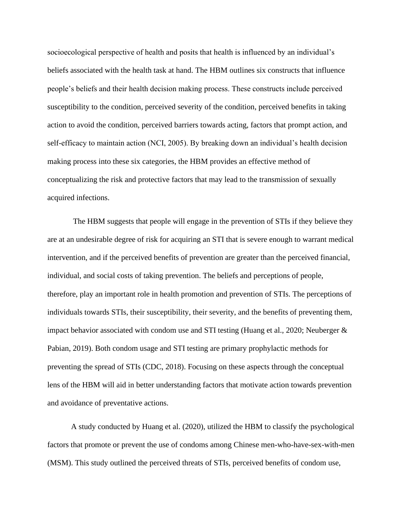socioecological perspective of health and posits that health is influenced by an individual's beliefs associated with the health task at hand. The HBM outlines six constructs that influence people's beliefs and their health decision making process. These constructs include perceived susceptibility to the condition, perceived severity of the condition, perceived benefits in taking action to avoid the condition, perceived barriers towards acting, factors that prompt action, and self-efficacy to maintain action (NCI, 2005). By breaking down an individual's health decision making process into these six categories, the HBM provides an effective method of conceptualizing the risk and protective factors that may lead to the transmission of sexually acquired infections.

The HBM suggests that people will engage in the prevention of STIs if they believe they are at an undesirable degree of risk for acquiring an STI that is severe enough to warrant medical intervention, and if the perceived benefits of prevention are greater than the perceived financial, individual, and social costs of taking prevention. The beliefs and perceptions of people, therefore, play an important role in health promotion and prevention of STIs. The perceptions of individuals towards STIs, their susceptibility, their severity, and the benefits of preventing them, impact behavior associated with condom use and STI testing (Huang et al., 2020; Neuberger & Pabian, 2019). Both condom usage and STI testing are primary prophylactic methods for preventing the spread of STIs (CDC, 2018). Focusing on these aspects through the conceptual lens of the HBM will aid in better understanding factors that motivate action towards prevention and avoidance of preventative actions.

A study conducted by Huang et al. (2020), utilized the HBM to classify the psychological factors that promote or prevent the use of condoms among Chinese men-who-have-sex-with-men (MSM). This study outlined the perceived threats of STIs, perceived benefits of condom use,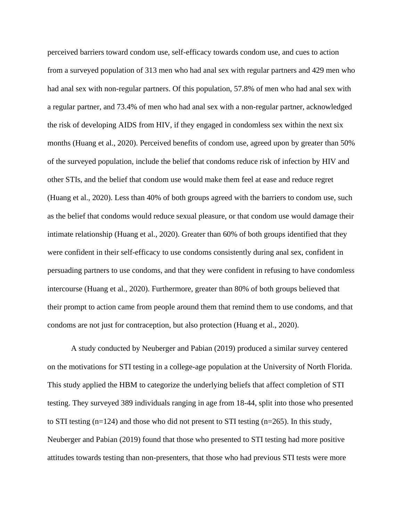perceived barriers toward condom use, self-efficacy towards condom use, and cues to action from a surveyed population of 313 men who had anal sex with regular partners and 429 men who had anal sex with non-regular partners. Of this population, 57.8% of men who had anal sex with a regular partner, and 73.4% of men who had anal sex with a non-regular partner, acknowledged the risk of developing AIDS from HIV, if they engaged in condomless sex within the next six months (Huang et al., 2020). Perceived benefits of condom use, agreed upon by greater than 50% of the surveyed population, include the belief that condoms reduce risk of infection by HIV and other STIs, and the belief that condom use would make them feel at ease and reduce regret (Huang et al., 2020). Less than 40% of both groups agreed with the barriers to condom use, such as the belief that condoms would reduce sexual pleasure, or that condom use would damage their intimate relationship (Huang et al., 2020). Greater than 60% of both groups identified that they were confident in their self-efficacy to use condoms consistently during anal sex, confident in persuading partners to use condoms, and that they were confident in refusing to have condomless intercourse (Huang et al., 2020). Furthermore, greater than 80% of both groups believed that their prompt to action came from people around them that remind them to use condoms, and that condoms are not just for contraception, but also protection (Huang et al., 2020).

A study conducted by Neuberger and Pabian (2019) produced a similar survey centered on the motivations for STI testing in a college-age population at the University of North Florida. This study applied the HBM to categorize the underlying beliefs that affect completion of STI testing. They surveyed 389 individuals ranging in age from 18-44, split into those who presented to STI testing  $(n=124)$  and those who did not present to STI testing  $(n=265)$ . In this study, Neuberger and Pabian (2019) found that those who presented to STI testing had more positive attitudes towards testing than non-presenters, that those who had previous STI tests were more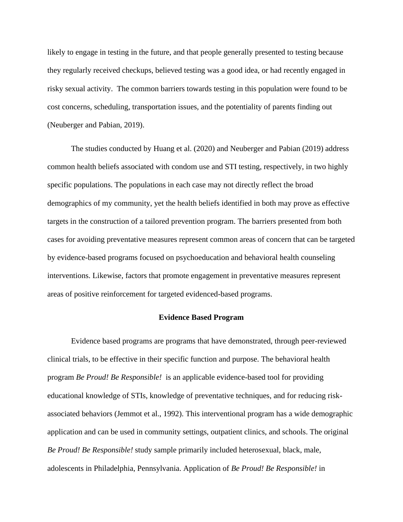likely to engage in testing in the future, and that people generally presented to testing because they regularly received checkups, believed testing was a good idea, or had recently engaged in risky sexual activity. The common barriers towards testing in this population were found to be cost concerns, scheduling, transportation issues, and the potentiality of parents finding out (Neuberger and Pabian, 2019).

The studies conducted by Huang et al. (2020) and Neuberger and Pabian (2019) address common health beliefs associated with condom use and STI testing, respectively, in two highly specific populations. The populations in each case may not directly reflect the broad demographics of my community, yet the health beliefs identified in both may prove as effective targets in the construction of a tailored prevention program. The barriers presented from both cases for avoiding preventative measures represent common areas of concern that can be targeted by evidence-based programs focused on psychoeducation and behavioral health counseling interventions. Likewise, factors that promote engagement in preventative measures represent areas of positive reinforcement for targeted evidenced-based programs.

### **Evidence Based Program**

Evidence based programs are programs that have demonstrated, through peer-reviewed clinical trials, to be effective in their specific function and purpose. The behavioral health program *Be Proud! Be Responsible!* is an applicable evidence-based tool for providing educational knowledge of STIs, knowledge of preventative techniques, and for reducing riskassociated behaviors (Jemmot et al., 1992). This interventional program has a wide demographic application and can be used in community settings, outpatient clinics, and schools. The original *Be Proud! Be Responsible!* study sample primarily included heterosexual, black, male, adolescents in Philadelphia, Pennsylvania. Application of *Be Proud! Be Responsible!* in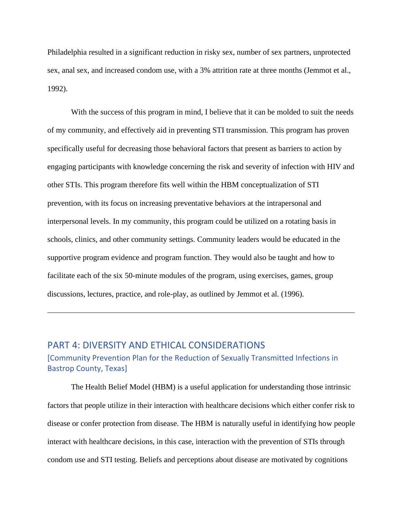Philadelphia resulted in a significant reduction in risky sex, number of sex partners, unprotected sex, anal sex, and increased condom use, with a 3% attrition rate at three months (Jemmot et al., 1992).

With the success of this program in mind, I believe that it can be molded to suit the needs of my community, and effectively aid in preventing STI transmission. This program has proven specifically useful for decreasing those behavioral factors that present as barriers to action by engaging participants with knowledge concerning the risk and severity of infection with HIV and other STIs. This program therefore fits well within the HBM conceptualization of STI prevention, with its focus on increasing preventative behaviors at the intrapersonal and interpersonal levels. In my community, this program could be utilized on a rotating basis in schools, clinics, and other community settings. Community leaders would be educated in the supportive program evidence and program function. They would also be taught and how to facilitate each of the six 50-minute modules of the program, using exercises, games, group discussions, lectures, practice, and role-play, as outlined by Jemmot et al. (1996).

## <span id="page-19-0"></span>PART 4: DIVERSITY AND ETHICAL CONSIDERATIONS

### [Community Prevention Plan for the Reduction of Sexually Transmitted Infections in Bastrop County, Texas]

The Health Belief Model (HBM) is a useful application for understanding those intrinsic factors that people utilize in their interaction with healthcare decisions which either confer risk to disease or confer protection from disease. The HBM is naturally useful in identifying how people interact with healthcare decisions, in this case, interaction with the prevention of STIs through condom use and STI testing. Beliefs and perceptions about disease are motivated by cognitions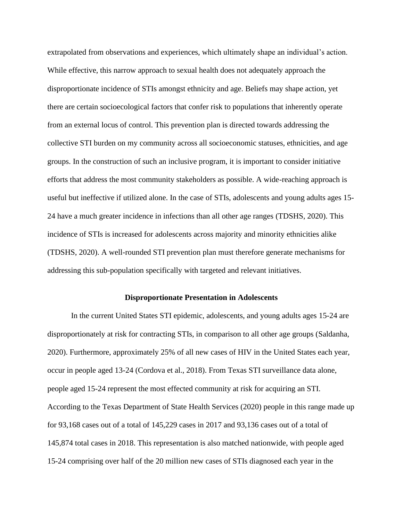extrapolated from observations and experiences, which ultimately shape an individual's action. While effective, this narrow approach to sexual health does not adequately approach the disproportionate incidence of STIs amongst ethnicity and age. Beliefs may shape action, yet there are certain socioecological factors that confer risk to populations that inherently operate from an external locus of control. This prevention plan is directed towards addressing the collective STI burden on my community across all socioeconomic statuses, ethnicities, and age groups. In the construction of such an inclusive program, it is important to consider initiative efforts that address the most community stakeholders as possible. A wide-reaching approach is useful but ineffective if utilized alone. In the case of STIs, adolescents and young adults ages 15- 24 have a much greater incidence in infections than all other age ranges (TDSHS, 2020). This incidence of STIs is increased for adolescents across majority and minority ethnicities alike (TDSHS, 2020). A well-rounded STI prevention plan must therefore generate mechanisms for addressing this sub-population specifically with targeted and relevant initiatives.

#### **Disproportionate Presentation in Adolescents**

In the current United States STI epidemic, adolescents, and young adults ages 15-24 are disproportionately at risk for contracting STIs, in comparison to all other age groups (Saldanha, 2020). Furthermore, approximately 25% of all new cases of HIV in the United States each year, occur in people aged 13-24 (Cordova et al., 2018). From Texas STI surveillance data alone, people aged 15-24 represent the most effected community at risk for acquiring an STI. According to the Texas Department of State Health Services (2020) people in this range made up for 93,168 cases out of a total of 145,229 cases in 2017 and 93,136 cases out of a total of 145,874 total cases in 2018. This representation is also matched nationwide, with people aged 15-24 comprising over half of the 20 million new cases of STIs diagnosed each year in the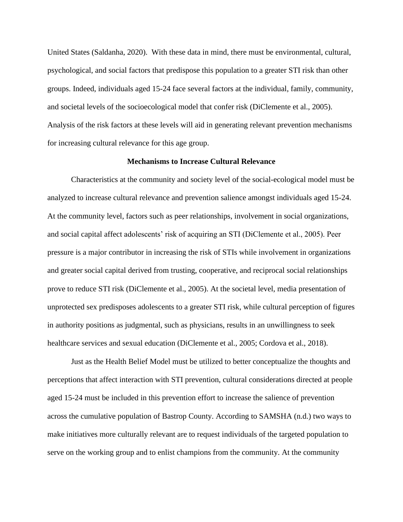United States (Saldanha, 2020). With these data in mind, there must be environmental, cultural, psychological, and social factors that predispose this population to a greater STI risk than other groups. Indeed, individuals aged 15-24 face several factors at the individual, family, community, and societal levels of the socioecological model that confer risk (DiClemente et al., 2005). Analysis of the risk factors at these levels will aid in generating relevant prevention mechanisms for increasing cultural relevance for this age group.

#### **Mechanisms to Increase Cultural Relevance**

Characteristics at the community and society level of the social-ecological model must be analyzed to increase cultural relevance and prevention salience amongst individuals aged 15-24. At the community level, factors such as peer relationships, involvement in social organizations, and social capital affect adolescents' risk of acquiring an STI (DiClemente et al., 2005). Peer pressure is a major contributor in increasing the risk of STIs while involvement in organizations and greater social capital derived from trusting, cooperative, and reciprocal social relationships prove to reduce STI risk (DiClemente et al., 2005). At the societal level, media presentation of unprotected sex predisposes adolescents to a greater STI risk, while cultural perception of figures in authority positions as judgmental, such as physicians, results in an unwillingness to seek healthcare services and sexual education (DiClemente et al., 2005; Cordova et al., 2018).

Just as the Health Belief Model must be utilized to better conceptualize the thoughts and perceptions that affect interaction with STI prevention, cultural considerations directed at people aged 15-24 must be included in this prevention effort to increase the salience of prevention across the cumulative population of Bastrop County. According to SAMSHA (n.d.) two ways to make initiatives more culturally relevant are to request individuals of the targeted population to serve on the working group and to enlist champions from the community. At the community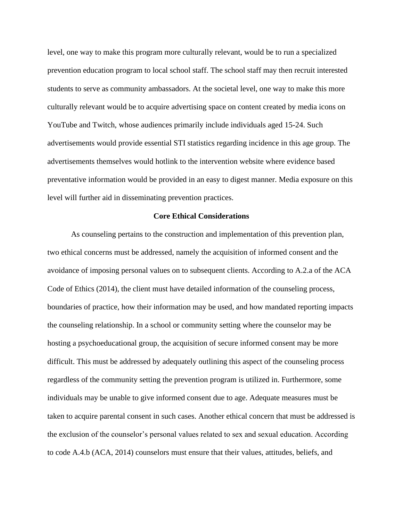level, one way to make this program more culturally relevant, would be to run a specialized prevention education program to local school staff. The school staff may then recruit interested students to serve as community ambassadors. At the societal level, one way to make this more culturally relevant would be to acquire advertising space on content created by media icons on YouTube and Twitch, whose audiences primarily include individuals aged 15-24. Such advertisements would provide essential STI statistics regarding incidence in this age group. The advertisements themselves would hotlink to the intervention website where evidence based preventative information would be provided in an easy to digest manner. Media exposure on this level will further aid in disseminating prevention practices.

#### **Core Ethical Considerations**

As counseling pertains to the construction and implementation of this prevention plan, two ethical concerns must be addressed, namely the acquisition of informed consent and the avoidance of imposing personal values on to subsequent clients. According to A.2.a of the ACA Code of Ethics (2014), the client must have detailed information of the counseling process, boundaries of practice, how their information may be used, and how mandated reporting impacts the counseling relationship. In a school or community setting where the counselor may be hosting a psychoeducational group, the acquisition of secure informed consent may be more difficult. This must be addressed by adequately outlining this aspect of the counseling process regardless of the community setting the prevention program is utilized in. Furthermore, some individuals may be unable to give informed consent due to age. Adequate measures must be taken to acquire parental consent in such cases. Another ethical concern that must be addressed is the exclusion of the counselor's personal values related to sex and sexual education. According to code A.4.b (ACA, 2014) counselors must ensure that their values, attitudes, beliefs, and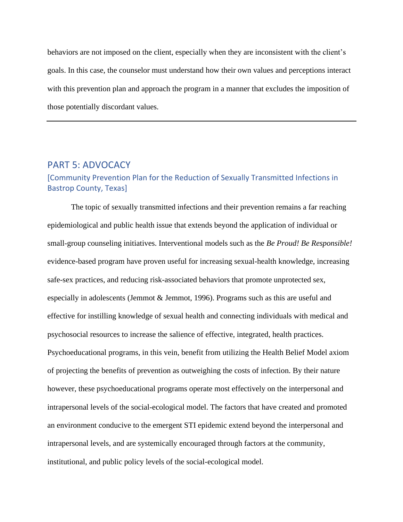behaviors are not imposed on the client, especially when they are inconsistent with the client's goals. In this case, the counselor must understand how their own values and perceptions interact with this prevention plan and approach the program in a manner that excludes the imposition of those potentially discordant values.

### <span id="page-23-0"></span>PART 5: ADVOCACY

### [Community Prevention Plan for the Reduction of Sexually Transmitted Infections in Bastrop County, Texas]

The topic of sexually transmitted infections and their prevention remains a far reaching epidemiological and public health issue that extends beyond the application of individual or small-group counseling initiatives. Interventional models such as the *Be Proud! Be Responsible!*  evidence-based program have proven useful for increasing sexual-health knowledge, increasing safe-sex practices, and reducing risk-associated behaviors that promote unprotected sex, especially in adolescents (Jemmot & Jemmot, 1996). Programs such as this are useful and effective for instilling knowledge of sexual health and connecting individuals with medical and psychosocial resources to increase the salience of effective, integrated, health practices. Psychoeducational programs, in this vein, benefit from utilizing the Health Belief Model axiom of projecting the benefits of prevention as outweighing the costs of infection. By their nature however, these psychoeducational programs operate most effectively on the interpersonal and intrapersonal levels of the social-ecological model. The factors that have created and promoted an environment conducive to the emergent STI epidemic extend beyond the interpersonal and intrapersonal levels, and are systemically encouraged through factors at the community, institutional, and public policy levels of the social-ecological model.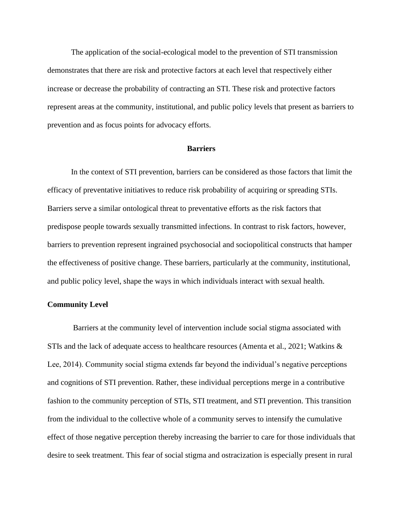The application of the social-ecological model to the prevention of STI transmission demonstrates that there are risk and protective factors at each level that respectively either increase or decrease the probability of contracting an STI. These risk and protective factors represent areas at the community, institutional, and public policy levels that present as barriers to prevention and as focus points for advocacy efforts.

### **Barriers**

In the context of STI prevention, barriers can be considered as those factors that limit the efficacy of preventative initiatives to reduce risk probability of acquiring or spreading STIs. Barriers serve a similar ontological threat to preventative efforts as the risk factors that predispose people towards sexually transmitted infections. In contrast to risk factors, however, barriers to prevention represent ingrained psychosocial and sociopolitical constructs that hamper the effectiveness of positive change. These barriers, particularly at the community, institutional, and public policy level, shape the ways in which individuals interact with sexual health.

### **Community Level**

Barriers at the community level of intervention include social stigma associated with STIs and the lack of adequate access to healthcare resources (Amenta et al., 2021; Watkins  $\&$ Lee, 2014). Community social stigma extends far beyond the individual's negative perceptions and cognitions of STI prevention. Rather, these individual perceptions merge in a contributive fashion to the community perception of STIs, STI treatment, and STI prevention. This transition from the individual to the collective whole of a community serves to intensify the cumulative effect of those negative perception thereby increasing the barrier to care for those individuals that desire to seek treatment. This fear of social stigma and ostracization is especially present in rural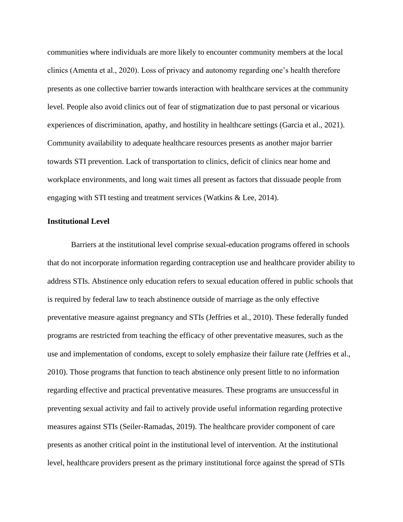communities where individuals are more likely to encounter community members at the local clinics (Amenta et al., 2020). Loss of privacy and autonomy regarding one's health therefore presents as one collective barrier towards interaction with healthcare services at the community level. People also avoid clinics out of fear of stigmatization due to past personal or vicarious experiences of discrimination, apathy, and hostility in healthcare settings (Garcia et al., 2021). Community availability to adequate healthcare resources presents as another major barrier towards STI prevention. Lack of transportation to clinics, deficit of clinics near home and workplace environments, and long wait times all present as factors that dissuade people from engaging with STI testing and treatment services (Watkins & Lee, 2014).

#### **Institutional Level**

Barriers at the institutional level comprise sexual-education programs offered in schools that do not incorporate information regarding contraception use and healthcare provider ability to address STIs. Abstinence only education refers to sexual education offered in public schools that is required by federal law to teach abstinence outside of marriage as the only effective preventative measure against pregnancy and STIs (Jeffries et al., 2010). These federally funded programs are restricted from teaching the efficacy of other preventative measures, such as the use and implementation of condoms, except to solely emphasize their failure rate (Jeffries et al., 2010). Those programs that function to teach abstinence only present little to no information regarding effective and practical preventative measures. These programs are unsuccessful in preventing sexual activity and fail to actively provide useful information regarding protective measures against STIs (Seiler-Ramadas, 2019). The healthcare provider component of care presents as another critical point in the institutional level of intervention. At the institutional level, healthcare providers present as the primary institutional force against the spread of STIs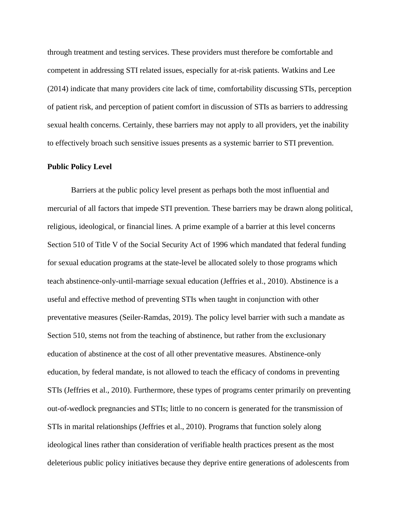through treatment and testing services. These providers must therefore be comfortable and competent in addressing STI related issues, especially for at-risk patients. Watkins and Lee (2014) indicate that many providers cite lack of time, comfortability discussing STIs, perception of patient risk, and perception of patient comfort in discussion of STIs as barriers to addressing sexual health concerns. Certainly, these barriers may not apply to all providers, yet the inability to effectively broach such sensitive issues presents as a systemic barrier to STI prevention.

### **Public Policy Level**

Barriers at the public policy level present as perhaps both the most influential and mercurial of all factors that impede STI prevention. These barriers may be drawn along political, religious, ideological, or financial lines. A prime example of a barrier at this level concerns Section 510 of Title V of the Social Security Act of 1996 which mandated that federal funding for sexual education programs at the state-level be allocated solely to those programs which teach abstinence-only-until-marriage sexual education (Jeffries et al., 2010). Abstinence is a useful and effective method of preventing STIs when taught in conjunction with other preventative measures (Seiler-Ramdas, 2019). The policy level barrier with such a mandate as Section 510, stems not from the teaching of abstinence, but rather from the exclusionary education of abstinence at the cost of all other preventative measures. Abstinence-only education, by federal mandate, is not allowed to teach the efficacy of condoms in preventing STIs (Jeffries et al., 2010). Furthermore, these types of programs center primarily on preventing out-of-wedlock pregnancies and STIs; little to no concern is generated for the transmission of STIs in marital relationships (Jeffries et al., 2010). Programs that function solely along ideological lines rather than consideration of verifiable health practices present as the most deleterious public policy initiatives because they deprive entire generations of adolescents from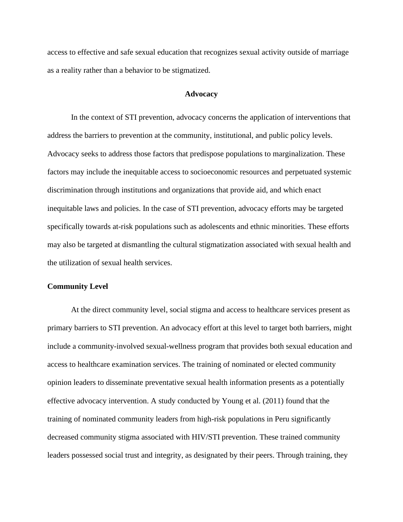access to effective and safe sexual education that recognizes sexual activity outside of marriage as a reality rather than a behavior to be stigmatized.

### **Advocacy**

In the context of STI prevention, advocacy concerns the application of interventions that address the barriers to prevention at the community, institutional, and public policy levels. Advocacy seeks to address those factors that predispose populations to marginalization. These factors may include the inequitable access to socioeconomic resources and perpetuated systemic discrimination through institutions and organizations that provide aid, and which enact inequitable laws and policies. In the case of STI prevention, advocacy efforts may be targeted specifically towards at-risk populations such as adolescents and ethnic minorities. These efforts may also be targeted at dismantling the cultural stigmatization associated with sexual health and the utilization of sexual health services.

### **Community Level**

At the direct community level, social stigma and access to healthcare services present as primary barriers to STI prevention. An advocacy effort at this level to target both barriers, might include a community-involved sexual-wellness program that provides both sexual education and access to healthcare examination services. The training of nominated or elected community opinion leaders to disseminate preventative sexual health information presents as a potentially effective advocacy intervention. A study conducted by Young et al. (2011) found that the training of nominated community leaders from high-risk populations in Peru significantly decreased community stigma associated with HIV/STI prevention. These trained community leaders possessed social trust and integrity, as designated by their peers. Through training, they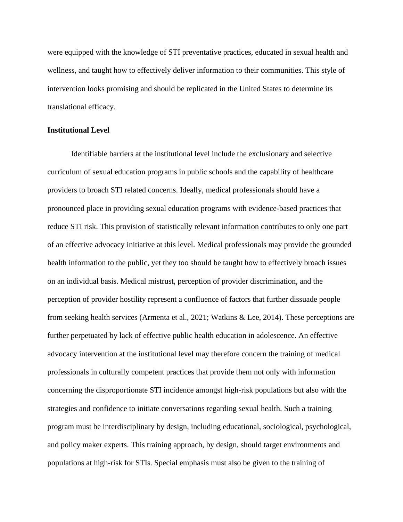were equipped with the knowledge of STI preventative practices, educated in sexual health and wellness, and taught how to effectively deliver information to their communities. This style of intervention looks promising and should be replicated in the United States to determine its translational efficacy.

### **Institutional Level**

Identifiable barriers at the institutional level include the exclusionary and selective curriculum of sexual education programs in public schools and the capability of healthcare providers to broach STI related concerns. Ideally, medical professionals should have a pronounced place in providing sexual education programs with evidence-based practices that reduce STI risk. This provision of statistically relevant information contributes to only one part of an effective advocacy initiative at this level. Medical professionals may provide the grounded health information to the public, yet they too should be taught how to effectively broach issues on an individual basis. Medical mistrust, perception of provider discrimination, and the perception of provider hostility represent a confluence of factors that further dissuade people from seeking health services (Armenta et al., 2021; Watkins & Lee, 2014). These perceptions are further perpetuated by lack of effective public health education in adolescence. An effective advocacy intervention at the institutional level may therefore concern the training of medical professionals in culturally competent practices that provide them not only with information concerning the disproportionate STI incidence amongst high-risk populations but also with the strategies and confidence to initiate conversations regarding sexual health. Such a training program must be interdisciplinary by design, including educational, sociological, psychological, and policy maker experts. This training approach, by design, should target environments and populations at high-risk for STIs. Special emphasis must also be given to the training of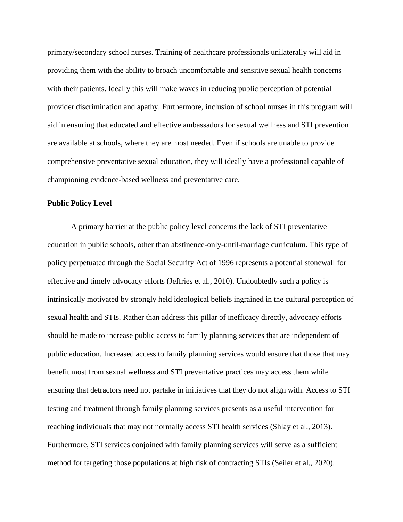primary/secondary school nurses. Training of healthcare professionals unilaterally will aid in providing them with the ability to broach uncomfortable and sensitive sexual health concerns with their patients. Ideally this will make waves in reducing public perception of potential provider discrimination and apathy. Furthermore, inclusion of school nurses in this program will aid in ensuring that educated and effective ambassadors for sexual wellness and STI prevention are available at schools, where they are most needed. Even if schools are unable to provide comprehensive preventative sexual education, they will ideally have a professional capable of championing evidence-based wellness and preventative care.

### **Public Policy Level**

A primary barrier at the public policy level concerns the lack of STI preventative education in public schools, other than abstinence-only-until-marriage curriculum. This type of policy perpetuated through the Social Security Act of 1996 represents a potential stonewall for effective and timely advocacy efforts (Jeffries et al., 2010). Undoubtedly such a policy is intrinsically motivated by strongly held ideological beliefs ingrained in the cultural perception of sexual health and STIs. Rather than address this pillar of inefficacy directly, advocacy efforts should be made to increase public access to family planning services that are independent of public education. Increased access to family planning services would ensure that those that may benefit most from sexual wellness and STI preventative practices may access them while ensuring that detractors need not partake in initiatives that they do not align with. Access to STI testing and treatment through family planning services presents as a useful intervention for reaching individuals that may not normally access STI health services (Shlay et al., 2013). Furthermore, STI services conjoined with family planning services will serve as a sufficient method for targeting those populations at high risk of contracting STIs (Seiler et al., 2020).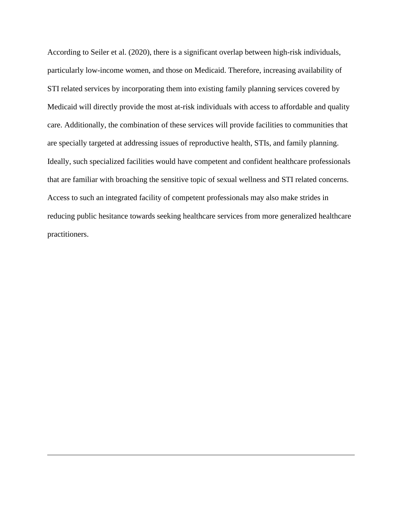According to Seiler et al. (2020), there is a significant overlap between high-risk individuals, particularly low-income women, and those on Medicaid. Therefore, increasing availability of STI related services by incorporating them into existing family planning services covered by Medicaid will directly provide the most at-risk individuals with access to affordable and quality care. Additionally, the combination of these services will provide facilities to communities that are specially targeted at addressing issues of reproductive health, STIs, and family planning. Ideally, such specialized facilities would have competent and confident healthcare professionals that are familiar with broaching the sensitive topic of sexual wellness and STI related concerns. Access to such an integrated facility of competent professionals may also make strides in reducing public hesitance towards seeking healthcare services from more generalized healthcare practitioners.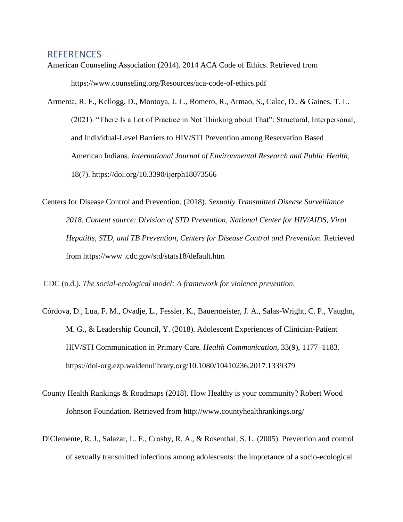### <span id="page-31-0"></span>**REFERENCES**

- American Counseling Association (2014). 2014 ACA Code of Ethics. Retrieved from https://www.counseling.org/Resources/aca-code-of-ethics.pdf
- Armenta, R. F., Kellogg, D., Montoya, J. L., Romero, R., Armao, S., Calac, D., & Gaines, T. L. (2021). "There Is a Lot of Practice in Not Thinking about That": Structural, Interpersonal, and Individual-Level Barriers to HIV/STI Prevention among Reservation Based American Indians. *International Journal of Environmental Research and Public Health*, 18(7). https://doi.org/10.3390/ijerph18073566
- Centers for Disease Control and Prevention. (2018). *Sexually Transmitted Disease Surveillance 2018. Content source: Division of STD Prevention, National Center for HIV/AIDS, Viral Hepatitis, STD, and TB Prevention, Centers for Disease Control and Prevention*. Retrieved from https://www .cdc.gov/std/stats18/default.htm
- CDC (n.d.). *The social-ecological model: A framework for violence prevention*.
- Córdova, D., Lua, F. M., Ovadje, L., Fessler, K., Bauermeister, J. A., Salas-Wright, C. P., Vaughn, M. G., & Leadership Council, Y. (2018). Adolescent Experiences of Clinician-Patient HIV/STI Communication in Primary Care*. Health Communication*, 33(9), 1177–1183. https://doi-org.ezp.waldenulibrary.org/10.1080/10410236.2017.1339379
- County Health Rankings & Roadmaps (2018). How Healthy is your community? Robert Wood Johnson Foundation. Retrieved from http://www.countyhealthrankings.org/
- DiClemente, R. J., Salazar, L. F., Crosby, R. A., & Rosenthal, S. L. (2005). Prevention and control of sexually transmitted infections among adolescents: the importance of a socio-ecological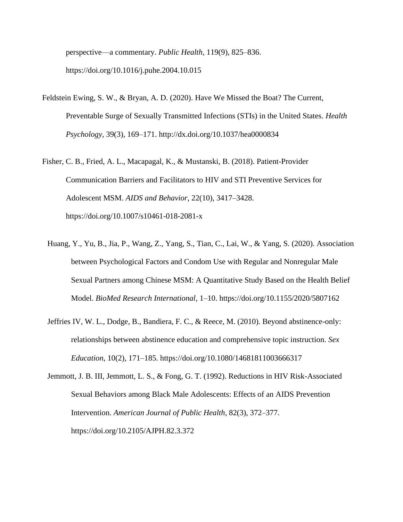perspective—a commentary. *Public Health*, 119(9), 825–836. https://doi.org/10.1016/j.puhe.2004.10.015

- Feldstein Ewing, S. W., & Bryan, A. D. (2020). Have We Missed the Boat? The Current, Preventable Surge of Sexually Transmitted Infections (STIs) in the United States. *Health Psychology*, 39(3), 169–171. http://dx.doi.org/10.1037/hea0000834
- Fisher, C. B., Fried, A. L., Macapagal, K., & Mustanski, B. (2018). Patient-Provider Communication Barriers and Facilitators to HIV and STI Preventive Services for Adolescent MSM. *AIDS and Behavior*, 22(10), 3417–3428. https://doi.org/10.1007/s10461-018-2081-x
	- Huang, Y., Yu, B., Jia, P., Wang, Z., Yang, S., Tian, C., Lai, W., & Yang, S. (2020). Association between Psychological Factors and Condom Use with Regular and Nonregular Male Sexual Partners among Chinese MSM: A Quantitative Study Based on the Health Belief Model. *BioMed Research International*, 1–10. https://doi.org/10.1155/2020/5807162
	- Jeffries IV, W. L., Dodge, B., Bandiera, F. C., & Reece, M. (2010). Beyond abstinence-only: relationships between abstinence education and comprehensive topic instruction. *Sex Education*, 10(2), 171–185. https://doi.org/10.1080/14681811003666317
	- Jemmott, J. B. III, Jemmott, L. S., & Fong, G. T. (1992). Reductions in HIV Risk-Associated Sexual Behaviors among Black Male Adolescents: Effects of an AIDS Prevention Intervention. *American Journal of Public Health*, 82(3), 372–377. https://doi.org/10.2105/AJPH.82.3.372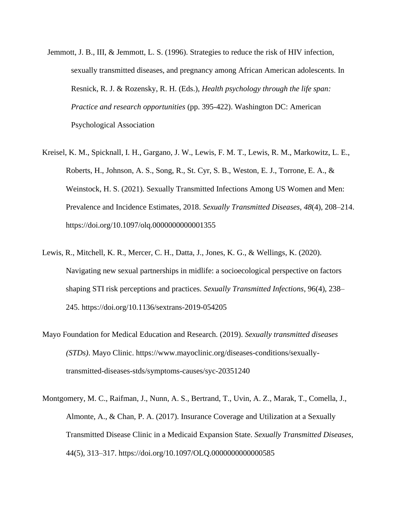- Jemmott, J. B., III, & Jemmott, L. S. (1996). Strategies to reduce the risk of HIV infection, sexually transmitted diseases, and pregnancy among African American adolescents. In Resnick, R. J. & Rozensky, R. H. (Eds.), *Health psychology through the life span: Practice and research opportunities* (pp. 395-422). Washington DC: American Psychological Association
- Kreisel, K. M., Spicknall, I. H., Gargano, J. W., Lewis, F. M. T., Lewis, R. M., Markowitz, L. E., Roberts, H., Johnson, A. S., Song, R., St. Cyr, S. B., Weston, E. J., Torrone, E. A., & Weinstock, H. S. (2021). Sexually Transmitted Infections Among US Women and Men: Prevalence and Incidence Estimates, 2018. *Sexually Transmitted Diseases*, *48*(4), 208–214. https://doi.org/10.1097/olq.0000000000001355
- Lewis, R., Mitchell, K. R., Mercer, C. H., Datta, J., Jones, K. G., & Wellings, K. (2020). Navigating new sexual partnerships in midlife: a socioecological perspective on factors shaping STI risk perceptions and practices. *Sexually Transmitted Infections*, 96(4), 238– 245. https://doi.org/10.1136/sextrans-2019-054205
- Mayo Foundation for Medical Education and Research. (2019). *Sexually transmitted diseases (STDs)*. Mayo Clinic. https://www.mayoclinic.org/diseases-conditions/sexuallytransmitted-diseases-stds/symptoms-causes/syc-20351240
- Montgomery, M. C., Raifman, J., Nunn, A. S., Bertrand, T., Uvin, A. Z., Marak, T., Comella, J., Almonte, A., & Chan, P. A. (2017). Insurance Coverage and Utilization at a Sexually Transmitted Disease Clinic in a Medicaid Expansion State. *Sexually Transmitted Diseases*, 44(5), 313–317. https://doi.org/10.1097/OLQ.0000000000000585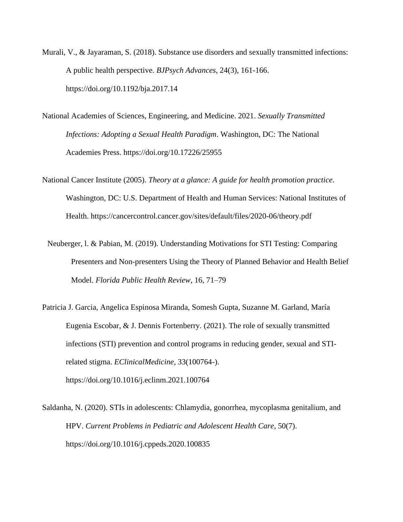- Murali, V., & Jayaraman, S. (2018). Substance use disorders and sexually transmitted infections: A public health perspective. *BJPsych Advances*, 24(3), 161-166. https://doi.org/10.1192/bja.2017.14
- National Academies of Sciences, Engineering, and Medicine. 2021. *Sexually Transmitted Infections: Adopting a Sexual Health Paradigm*. Washington, DC: The National Academies Press. https://doi.org/10.17226/25955
- National Cancer Institute (2005). *Theory at a glance: A guide for health promotion practice*. Washington, DC: U.S. Department of Health and Human Services: National Institutes of Health. https://cancercontrol.cancer.gov/sites/default/files/2020-06/theory.pdf
	- Neuberger, l. & Pabian, M. (2019). Understanding Motivations for STI Testing: Comparing Presenters and Non-presenters Using the Theory of Planned Behavior and Health Belief Model. *Florida Public Health Review*, 16, 71–79
- Patricia J. Garcia, Angelica Espinosa Miranda, Somesh Gupta, Suzanne M. Garland, María Eugenia Escobar, & J. Dennis Fortenberry. (2021). The role of sexually transmitted infections (STI) prevention and control programs in reducing gender, sexual and STIrelated stigma. *EClinicalMedicine*, 33(100764-). https://doi.org/10.1016/j.eclinm.2021.100764
- Saldanha, N. (2020). STIs in adolescents: Chlamydia, gonorrhea, mycoplasma genitalium, and HPV. *Current Problems in Pediatric and Adolescent Health Care*, 50(7). https://doi.org/10.1016/j.cppeds.2020.100835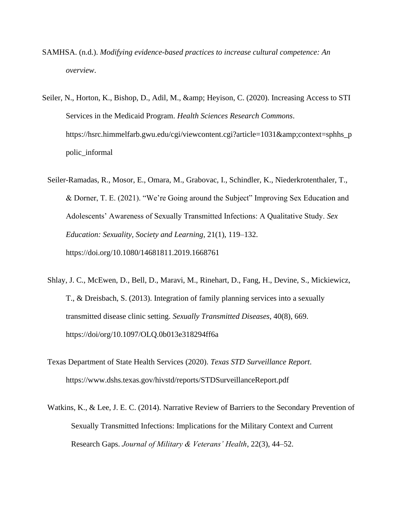- SAMHSA. (n.d.). *Modifying evidence-based practices to increase cultural competence: An overview*.
- Seiler, N., Horton, K., Bishop, D., Adil, M., & amp; Heyison, C. (2020). Increasing Access to STI Services in the Medicaid Program. *Health Sciences Research Commons*. https://hsrc.himmelfarb.gwu.edu/cgi/viewcontent.cgi?article=1031&context=sphhs\_p polic\_informal
	- Seiler-Ramadas, R., Mosor, E., Omara, M., Grabovac, I., Schindler, K., Niederkrotenthaler, T., & Dorner, T. E. (2021). "We're Going around the Subject" Improving Sex Education and Adolescents' Awareness of Sexually Transmitted Infections: A Qualitative Study. *Sex Education: Sexuality, Society and Learning*, 21(1), 119–132. https://doi.org/10.1080/14681811.2019.1668761
	- Shlay, J. C., McEwen, D., Bell, D., Maravi, M., Rinehart, D., Fang, H., Devine, S., Mickiewicz, T., & Dreisbach, S. (2013). Integration of family planning services into a sexually transmitted disease clinic setting. *Sexually Transmitted Diseases*, 40(8), 669. https://doi/org/10.1097/OLQ.0b013e318294ff6a
	- Texas Department of State Health Services (2020). *Texas STD Surveillance Report.*  https://www.dshs.texas.gov/hivstd/reports/STDSurveillanceReport.pdf
	- Watkins, K., & Lee, J. E. C. (2014). Narrative Review of Barriers to the Secondary Prevention of Sexually Transmitted Infections: Implications for the Military Context and Current Research Gaps. *Journal of Military & Veterans' Health*, 22(3), 44–52.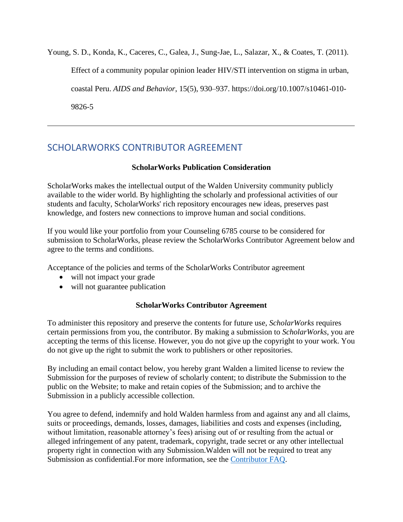Young, S. D., Konda, K., Caceres, C., Galea, J., Sung-Jae, L., Salazar, X., & Coates, T. (2011). Effect of a community popular opinion leader HIV/STI intervention on stigma in urban, coastal Peru. *AIDS and Behavior*, 15(5), 930–937. https://doi.org/10.1007/s10461-010- 9826-5

# <span id="page-36-0"></span>SCHOLARWORKS CONTRIBUTOR AGREEMENT

### **ScholarWorks Publication Consideration**

ScholarWorks makes the intellectual output of the Walden University community publicly available to the wider world. By highlighting the scholarly and professional activities of our students and faculty, ScholarWorks' rich repository encourages new ideas, preserves past knowledge, and fosters new connections to improve human and social conditions.

If you would like your portfolio from your Counseling 6785 course to be considered for submission to ScholarWorks, please review the ScholarWorks Contributor Agreement below and agree to the terms and conditions.

Acceptance of the policies and terms of the ScholarWorks Contributor agreement

- will not impact your grade
- will not guarantee publication

### **ScholarWorks Contributor Agreement**

To administer this repository and preserve the contents for future use, *ScholarWorks* requires certain permissions from you, the contributor. By making a submission to *ScholarWorks*, you are accepting the terms of this license. However, you do not give up the copyright to your work. You do not give up the right to submit the work to publishers or other repositories.

By including an email contact below, you hereby grant Walden a limited license to review the Submission for the purposes of review of scholarly content; to distribute the Submission to the public on the Website; to make and retain copies of the Submission; and to archive the Submission in a publicly accessible collection.

You agree to defend, indemnify and hold Walden harmless from and against any and all claims, suits or proceedings, demands, losses, damages, liabilities and costs and expenses (including, without limitation, reasonable attorney's fees) arising out of or resulting from the actual or alleged infringement of any patent, trademark, copyright, trade secret or any other intellectual property right in connection with any Submission.Walden will not be required to treat any Submission as confidential.For more information, see the Contributor FAQ.